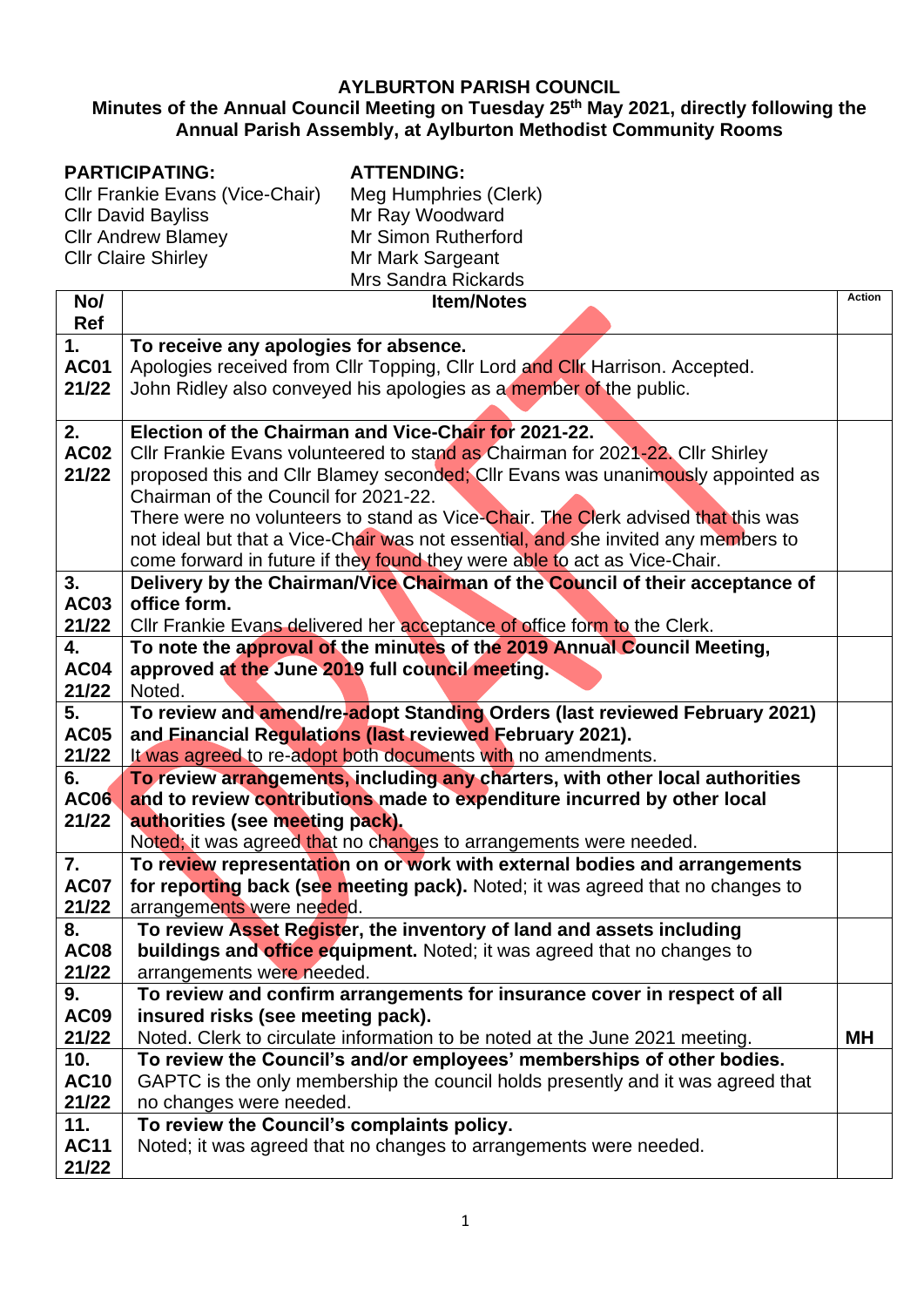## **AYLBURTON PARISH COUNCIL**

## **Minutes of the Annual Council Meeting on Tuesday 25th May 2021, directly following the Annual Parish Assembly, at Aylburton Methodist Community Rooms**

## **PARTICIPATING:**

**ATTENDING:**

Cllr Frankie Evans (Vice-Chair) Cllr David Bayliss Cllr Andrew Blamey Cllr Claire Shirley

Meg Humphries (Clerk) Mr Ray Woodward Mr Simon Rutherford Mr Mark Sargeant Mrs Sandra Rickards

| No/                  | <b>Item/Notes</b>                                                                                                                            | Action |
|----------------------|----------------------------------------------------------------------------------------------------------------------------------------------|--------|
| Ref                  |                                                                                                                                              |        |
| 1.                   | To receive any apologies for absence.                                                                                                        |        |
| <b>AC01</b>          | Apologies received from Cllr Topping, Cllr Lord and Cllr Harrison. Accepted.                                                                 |        |
| 21/22                | John Ridley also conveyed his apologies as a member of the public.                                                                           |        |
|                      |                                                                                                                                              |        |
| 2.                   | Election of the Chairman and Vice-Chair for 2021-22.                                                                                         |        |
| <b>AC02</b>          | Cllr Frankie Evans volunteered to stand as Chairman for 2021-22. Cllr Shirley                                                                |        |
| 21/22                | proposed this and Cllr Blamey seconded; Cllr Evans was unanimously appointed as                                                              |        |
|                      | Chairman of the Council for 2021-22.                                                                                                         |        |
|                      | There were no volunteers to stand as Vice-Chair. The Clerk advised that this was                                                             |        |
|                      | not ideal but that a Vice-Chair was not essential, and she invited any members to                                                            |        |
|                      | come forward in future if they found they were able to act as Vice-Chair.                                                                    |        |
| 3.                   | Delivery by the Chairman/Vice Chairman of the Council of their acceptance of                                                                 |        |
| <b>AC03</b>          | office form.                                                                                                                                 |        |
| 21/22                | Cllr Frankie Evans delivered her acceptance of office form to the Clerk.                                                                     |        |
| 4.                   | To note the approval of the minutes of the 2019 Annual Council Meeting,                                                                      |        |
| <b>AC04</b>          | approved at the June 2019 full council meeting.                                                                                              |        |
| 21/22                | Noted.                                                                                                                                       |        |
| 5.                   | To review and amend/re-adopt Standing Orders (last reviewed February 2021)                                                                   |        |
| <b>AC05</b><br>21/22 | and Financial Regulations (last reviewed February 2021).                                                                                     |        |
| 6.                   | It was agreed to re-adopt both documents with no amendments.<br>To review arrangements, including any charters, with other local authorities |        |
| <b>AC06</b>          | and to review contributions made to expenditure incurred by other local                                                                      |        |
| 21/22                | authorities (see meeting pack).                                                                                                              |        |
|                      | Noted; it was agreed that no changes to arrangements were needed.                                                                            |        |
| $\mathbf{7}$ .       | To review representation on or work with external bodies and arrangements                                                                    |        |
| <b>AC07</b>          | for reporting back (see meeting pack). Noted; it was agreed that no changes to                                                               |        |
| 21/22                | arrangements were needed.                                                                                                                    |        |
| 8.                   | To review Asset Register, the inventory of land and assets including                                                                         |        |
| <b>AC08</b>          | buildings and office equipment. Noted; it was agreed that no changes to                                                                      |        |
| 21/22                | arrangements were needed.                                                                                                                    |        |
| 9.                   | To review and confirm arrangements for insurance cover in respect of all                                                                     |        |
| <b>AC09</b>          | insured risks (see meeting pack).                                                                                                            |        |
| 21/22                | Noted. Clerk to circulate information to be noted at the June 2021 meeting.                                                                  | MН     |
| 10.                  | To review the Council's and/or employees' memberships of other bodies.                                                                       |        |
| <b>AC10</b>          | GAPTC is the only membership the council holds presently and it was agreed that                                                              |        |
| 21/22                | no changes were needed.                                                                                                                      |        |
| 11.                  | To review the Council's complaints policy.                                                                                                   |        |
| <b>AC11</b>          | Noted; it was agreed that no changes to arrangements were needed.                                                                            |        |
| 21/22                |                                                                                                                                              |        |